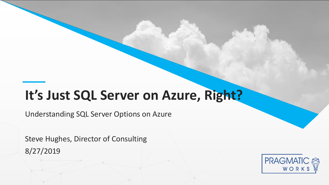### It's Just SQL Server on Azure, Right?

Understanding SQL Server Options on Azure

Steve Hughes, Director of Consulting 8/27/2019

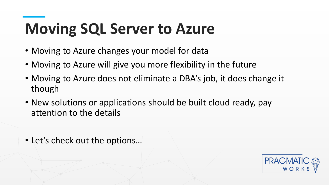### **Moving SQL Server to Azure**

- Moving to Azure changes your model for data
- Moving to Azure will give you more flexibility in the future
- Though<br>• Naw colutions or annlicati • Moving to Azure does not eliminate a DBA's job, it does change it though
- attention to the details • New solutions or applications should be built cloud ready, pay
- Let's check out the options…

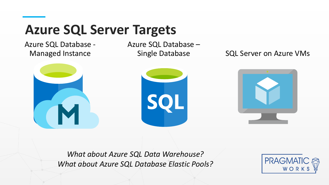### **Azure SQL Server Targets**

Azure SQL Database - Managed Instance

Azure SQL Database –

Single Database SQL Server on Azure VMs



*What about Azure SQL Data Warehouse? What about Azure SQL Database Elastic Pools?*

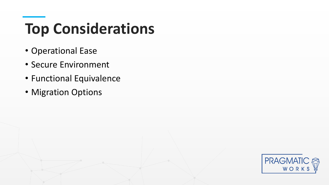### **Top Considerations**

- Operational Ease
- Secure Environment
- Functional Equivalence
- **Migration Options**

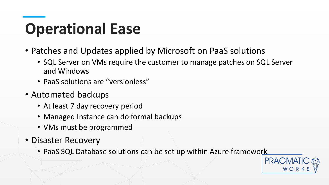### **Operational Ease**

- Patches and Updates applied by Microsoft on PaaS solutions
	- SQL Server on VMs require the customer to manage patches on SQL Server and Windows
	- PaaS solutions are "versionless"
- **Automated backups** • Automated backups
	- At least 7 day recovery period
- Managed Instance can do formal backups
	- VMs must be programmed
- Disaster Recovery
	- PaaS SQL Database solutions can be set up within Azure framework

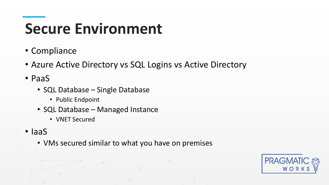### **Secure Environment**

- Compliance
- Azure Active Directory vs SQL Logins vs Active Directory
- PaaS
- **SQL Database Single Database**<br>• Public Endpoint
	- Public Endpoint
- **THE DUCK DUCK OF SUBARUSE** • SQL Database – Managed Instance
	- VNET Secured
- IaaS
	- VMs secured similar to what you have on premises

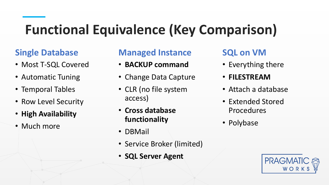### **Functional Equivalence (Key Comparison)**

#### **Single Database**

- Most T-SQL Covered
- Automatic Tuning
- Temporal Tables
- **This is a Header** • Row Level Security
- **High Availability**
- Much more

#### **Managed Instance**

- **BACKUP command**
- Change Data Capture
- CLR (no file system access)
- **Cross database functionality**
- DBMail
- Service Broker (limited)
- **SQL Server Agent**

#### **SQL on VM**

- Everything there
- **FILESTREAM**
- Attach a database
- Extended Stored Procedures
- Polybase

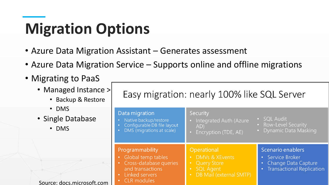## **Migration Options**

- Azure Data Migration Assistant Generates assessment
- Azure Data Migration Service Supports online and offline migrations
- Migrating to PaaS
- Managed Instance > Ea<br>
Backup & Restore
	- Backup & Restore
	- DMS
- a Single Databri • Single Database
	- DMS

| Source: docs.microsoft.com |  |
|----------------------------|--|

| $\geq$ | Easy migration: nearly 100% like SQL Server                                                                                                                          |                                                                                                                                                                  |                                                                                             |  |
|--------|----------------------------------------------------------------------------------------------------------------------------------------------------------------------|------------------------------------------------------------------------------------------------------------------------------------------------------------------|---------------------------------------------------------------------------------------------|--|
|        | Data migration<br>Native backup/restore<br>Configurable DB file layout<br>DMS (migrations at scale)<br>$\bullet$                                                     | Security<br>Integrated Auth (Azure<br>AD)<br>Encryption (TDE, AE)                                                                                                | · SQL Audit<br>• Row-Level Security<br>• Dynamic Data Masking                               |  |
|        | Programmability<br>Global temp tables<br>Cross-database queries<br>$\bullet$<br>and transactions<br>Linked servers<br>$\bullet$<br><b>CLR</b> modules<br>$\bullet$ . | Operational<br><b>DMVs &amp; XEvents</b><br><b>Q</b><br><b>Query Store</b><br>$\bullet$<br><b>SQL Agent</b><br>$\bullet$<br>DB Mail (external SMTP)<br>$\bullet$ | Scenario enablers<br>• Service Broker<br>Change Data Capture<br>• Transactional Replication |  |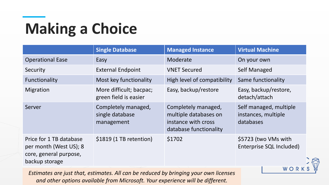# **Making a Choice**

|                                                                                               | <b>Single Database</b>                               | <b>Managed Instance</b>                                                                       | <b>Virtual Machine</b>                                     |
|-----------------------------------------------------------------------------------------------|------------------------------------------------------|-----------------------------------------------------------------------------------------------|------------------------------------------------------------|
| <b>Operational Ease</b>                                                                       | Easy                                                 | Moderate                                                                                      | On your own                                                |
| Security                                                                                      | <b>External Endpoint</b>                             | <b>VNET Secured</b>                                                                           | <b>Self Managed</b>                                        |
| Functionality                                                                                 | Most key functionality                               | High level of compatibility                                                                   | Same functionality                                         |
| Migration                                                                                     | More difficult; bacpac;<br>green field is easier     | Easy, backup/restore                                                                          | Easy, backup/restore,<br>detach/attach                     |
| Server                                                                                        | Completely managed,<br>single database<br>management | Completely managed,<br>multiple databases on<br>instance with cross<br>database functionality | Self managed, multiple<br>instances, multiple<br>databases |
| Price for 1 TB database<br>per month (West US); 8<br>core, general purpose,<br>backup storage | \$1819 (1 TB retention)                              | \$1702                                                                                        | \$5723 (two VMs with<br>Enterprise SQL Included)           |

WORK

*Estimates are just that, estimates. All can be reduced by bringing your own licenses and other options available from Microsoft. Your experience will be different.*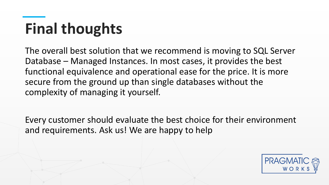# **Final thoughts**

complexity of managing it yourself. The overall best solution that we recommend is moving to SQL Server Database – Managed Instances. In most cases, it provides the best functional equivalence and operational ease for the price. It is more secure from the ground up than single databases without the

 $\Gamma$ Every customer should evaluate the best choice for their environment and requirements. Ask us! We are happy to help